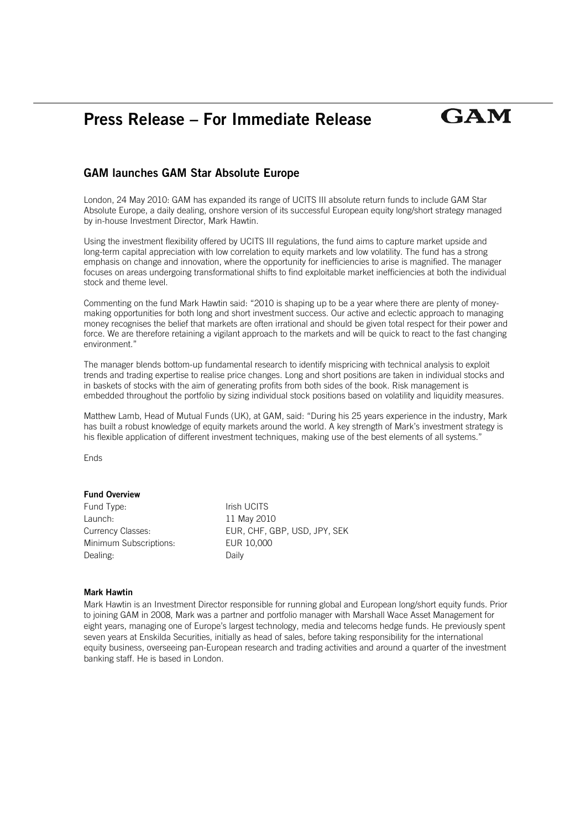# **Press Release – For Immediate Release**

## **GAM launches GAM Star Absolute Europe**

London, 24 May 2010: GAM has expanded its range of UCITS III absolute return funds to include GAM Star Absolute Europe, a daily dealing, onshore version of its successful European equity long/short strategy managed by in-house Investment Director, Mark Hawtin.

Using the investment flexibility offered by UCITS III regulations, the fund aims to capture market upside and long-term capital appreciation with low correlation to equity markets and low volatility. The fund has a strong emphasis on change and innovation, where the opportunity for inefficiencies to arise is magnified. The manager focuses on areas undergoing transformational shifts to find exploitable market inefficiencies at both the individual stock and theme level.

Commenting on the fund Mark Hawtin said: "2010 is shaping up to be a year where there are plenty of moneymaking opportunities for both long and short investment success. Our active and eclectic approach to managing money recognises the belief that markets are often irrational and should be given total respect for their power and force. We are therefore retaining a vigilant approach to the markets and will be quick to react to the fast changing environment."

The manager blends bottom-up fundamental research to identify mispricing with technical analysis to exploit trends and trading expertise to realise price changes. Long and short positions are taken in individual stocks and in baskets of stocks with the aim of generating profits from both sides of the book. Risk management is embedded throughout the portfolio by sizing individual stock positions based on volatility and liquidity measures.

Matthew Lamb, Head of Mutual Funds (UK), at GAM, said: "During his 25 years experience in the industry, Mark has built a robust knowledge of equity markets around the world. A key strength of Mark's investment strategy is his flexible application of different investment techniques, making use of the best elements of all systems."

Ends

#### **Fund Overview**

| Fund Type:             | Irish UCITS                  |
|------------------------|------------------------------|
| Launch:                | 11 May 2010                  |
| Currency Classes:      | EUR, CHF, GBP, USD, JPY, SEK |
| Minimum Subscriptions: | EUR 10,000                   |
| Dealing:               | Daily                        |

#### **Mark Hawtin**

Mark Hawtin is an Investment Director responsible for running global and European long/short equity funds. Prior to joining GAM in 2008, Mark was a partner and portfolio manager with Marshall Wace Asset Management for eight years, managing one of Europe's largest technology, media and telecoms hedge funds. He previously spent seven years at Enskilda Securities, initially as head of sales, before taking responsibility for the international equity business, overseeing pan-European research and trading activities and around a quarter of the investment banking staff. He is based in London.